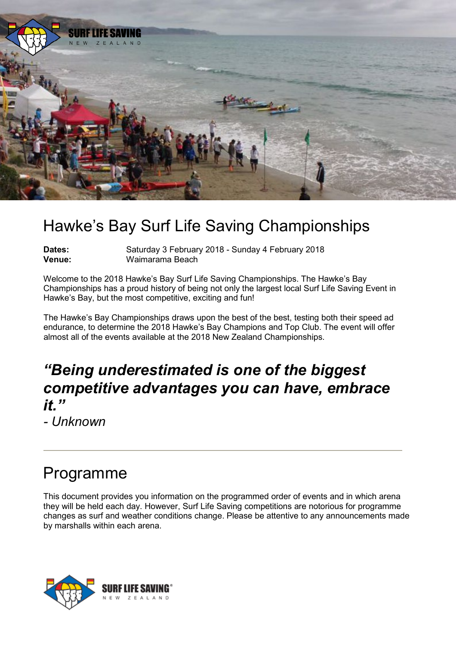

# Hawke's Bay Surf Life Saving Championships

**Dates: Saturday 3 February 2018 - Sunday 4 February 2018**<br> **Venue:** Waimarama Beach **Venue:** Waimarama Beach

Welcome to the 2018 Hawke's Bay Surf Life Saving Championships. The Hawke's Bay Championships has a proud history of being not only the largest local Surf Life Saving Event in Hawke's Bay, but the most competitive, exciting and fun!

The Hawke's Bay Championships draws upon the best of the best, testing both their speed ad endurance, to determine the 2018 Hawke's Bay Champions and Top Club. The event will offer almost all of the events available at the 2018 New Zealand Championships.

### *"Being underestimated is one of the biggest competitive advantages you can have, embrace it."*

*- Unknown*

## Programme

This document provides you information on the programmed order of events and in which arena they will be held each day. However, Surf Life Saving competitions are notorious for programme changes as surf and weather conditions change. Please be attentive to any announcements made by marshalls within each arena.

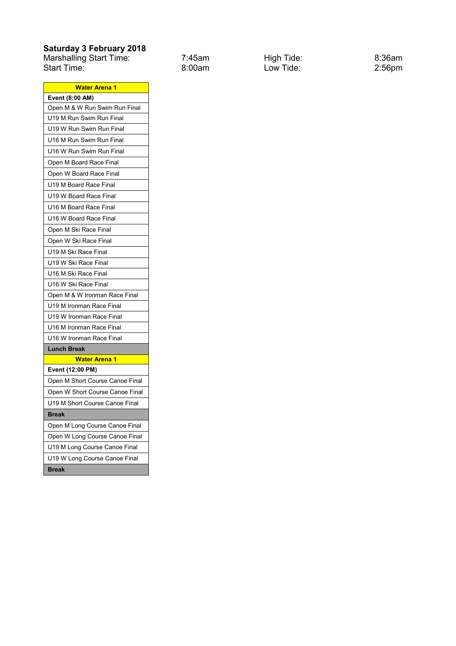### **Saturday 3 February 2018**

Marshalling Start Time: 7:45am High Tide: 8:36am Start Time: 8:00am Low Tide: 2:56pm

| <b>Water Arena 1</b>            |  |  |
|---------------------------------|--|--|
| Event (8:00 AM)                 |  |  |
| Open M & W Run Swim Run Final   |  |  |
| U19 M Run Swim Run Final        |  |  |
| U19 W Run Swim Run Final        |  |  |
| U16 M Run Swim Run Final        |  |  |
| U16 W Run Swim Run Final        |  |  |
| Open M Board Race Final         |  |  |
| Open W Board Race Final         |  |  |
| U19 M Board Race Final          |  |  |
| U19 W Board Race Final          |  |  |
| U16 M Board Race Final          |  |  |
| U16 W Board Race Final          |  |  |
| Open M Ski Race Final           |  |  |
| Open W Ski Race Final           |  |  |
| U19 M Ski Race Final            |  |  |
| U19 W Ski Race Final            |  |  |
| U16 M Ski Race Final            |  |  |
| U16 W Ski Race Final            |  |  |
| Open M & W Ironman Race Final   |  |  |
| U19 M Ironman Race Final        |  |  |
| U19 W Ironman Race Final        |  |  |
| U16 M Ironman Race Final        |  |  |
| U16 W Ironman Race Final        |  |  |
| <b>Lunch Break</b>              |  |  |
| <b>Water Arena 1</b>            |  |  |
| Event (12:00 PM)                |  |  |
| Open M Short Course Canoe Final |  |  |
| Open W Short Course Canoe Final |  |  |
| U19 M Short Course Canoe Final  |  |  |
| <b>Break</b>                    |  |  |
| Open M Long Course Canoe Final  |  |  |
| Open W Long Course Canoe Final  |  |  |
| U19 M Long Course Canoe Final   |  |  |
| U19 W Long Course Canoe Final   |  |  |
| <b>Break</b>                    |  |  |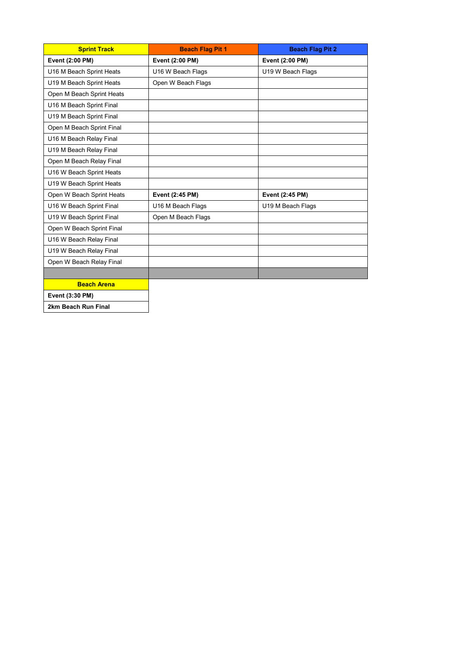| <b>Sprint Track</b>       | <b>Beach Flag Pit 1</b> | <b>Beach Flag Pit 2</b> |
|---------------------------|-------------------------|-------------------------|
| Event (2:00 PM)           | Event (2:00 PM)         | Event (2:00 PM)         |
| U16 M Beach Sprint Heats  | U16 W Beach Flags       | U19 W Beach Flags       |
| U19 M Beach Sprint Heats  | Open W Beach Flags      |                         |
| Open M Beach Sprint Heats |                         |                         |
| U16 M Beach Sprint Final  |                         |                         |
| U19 M Beach Sprint Final  |                         |                         |
| Open M Beach Sprint Final |                         |                         |
| U16 M Beach Relay Final   |                         |                         |
| U19 M Beach Relay Final   |                         |                         |
| Open M Beach Relay Final  |                         |                         |
| U16 W Beach Sprint Heats  |                         |                         |
| U19 W Beach Sprint Heats  |                         |                         |
| Open W Beach Sprint Heats | Event (2:45 PM)         | Event (2:45 PM)         |
| U16 W Beach Sprint Final  | U16 M Beach Flags       | U19 M Beach Flags       |
| U19 W Beach Sprint Final  | Open M Beach Flags      |                         |
| Open W Beach Sprint Final |                         |                         |
| U16 W Beach Relay Final   |                         |                         |
| U19 W Beach Relay Final   |                         |                         |
| Open W Beach Relay Final  |                         |                         |
|                           |                         |                         |
| <b>Beach Arena</b>        |                         |                         |

**Event (3:30 PM)**

**2km Beach Run Final**